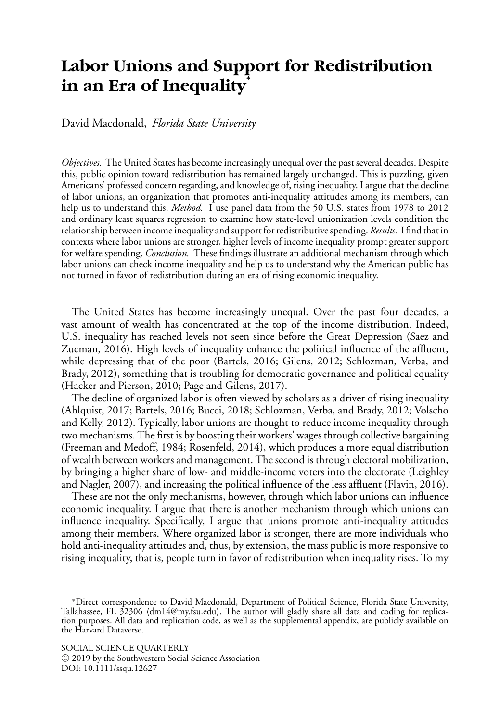# **Labor Unions and Support for Redistribution in an Era of Inequality<sup>∗</sup>**

David Macdonald, *Florida State University*

*Objectives.* The United States has become increasingly unequal over the past several decades. Despite this, public opinion toward redistribution has remained largely unchanged. This is puzzling, given Americans' professed concern regarding, and knowledge of, rising inequality. I argue that the decline of labor unions, an organization that promotes anti-inequality attitudes among its members, can help us to understand this. *Method.* I use panel data from the 50 U.S. states from 1978 to 2012 and ordinary least squares regression to examine how state-level unionization levels condition the relationship between income inequality and support for redistributive spending. *Results.* I find that in contexts where labor unions are stronger, higher levels of income inequality prompt greater support for welfare spending. *Conclusion.* These findings illustrate an additional mechanism through which labor unions can check income inequality and help us to understand why the American public has not turned in favor of redistribution during an era of rising economic inequality.

The United States has become increasingly unequal. Over the past four decades, a vast amount of wealth has concentrated at the top of the income distribution. Indeed, U.S. inequality has reached levels not seen since before the Great Depression (Saez and Zucman, 2016). High levels of inequality enhance the political influence of the affluent, while depressing that of the poor (Bartels, 2016; Gilens, 2012; Schlozman, Verba, and Brady, 2012), something that is troubling for democratic governance and political equality (Hacker and Pierson, 2010; Page and Gilens, 2017).

The decline of organized labor is often viewed by scholars as a driver of rising inequality (Ahlquist, 2017; Bartels, 2016; Bucci, 2018; Schlozman, Verba, and Brady, 2012; Volscho and Kelly, 2012). Typically, labor unions are thought to reduce income inequality through two mechanisms. The first is by boosting their workers' wages through collective bargaining (Freeman and Medoff, 1984; Rosenfeld, 2014), which produces a more equal distribution of wealth between workers and management. The second is through electoral mobilization, by bringing a higher share of low- and middle-income voters into the electorate (Leighley and Nagler, 2007), and increasing the political influence of the less affluent (Flavin, 2016).

These are not the only mechanisms, however, through which labor unions can influence economic inequality. I argue that there is another mechanism through which unions can influence inequality. Specifically, I argue that unions promote anti-inequality attitudes among their members. Where organized labor is stronger, there are more individuals who hold anti-inequality attitudes and, thus, by extension, the mass public is more responsive to rising inequality, that is, people turn in favor of redistribution when inequality rises. To my

SOCIAL SCIENCE QUARTERLY <sup>C</sup> 2019 by the Southwestern Social Science Association DOI: 10.1111/ssqu.12627

<sup>∗</sup>Direct correspondence to David Macdonald, Department of Political Science, Florida State University, Tallahassee, FL 32306 (dm14@my.fsu.edu). The author will gladly share all data and coding for replication purposes. All data and replication code, as well as the supplemental appendix, are publicly available on the Harvard Dataverse.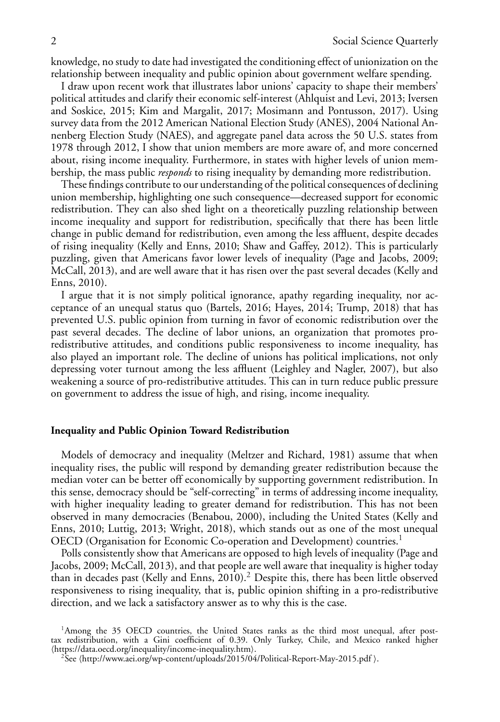knowledge, no study to date had investigated the conditioning effect of unionization on the relationship between inequality and public opinion about government welfare spending.

I draw upon recent work that illustrates labor unions' capacity to shape their members' political attitudes and clarify their economic self-interest (Ahlquist and Levi, 2013; Iversen and Soskice, 2015; Kim and Margalit, 2017; Mosimann and Pontusson, 2017). Using survey data from the 2012 American National Election Study (ANES), 2004 National Annenberg Election Study (NAES), and aggregate panel data across the 50 U.S. states from 1978 through 2012, I show that union members are more aware of, and more concerned about, rising income inequality. Furthermore, in states with higher levels of union membership, the mass public *responds* to rising inequality by demanding more redistribution.

These findings contribute to our understanding of the political consequences of declining union membership, highlighting one such consequence—decreased support for economic redistribution. They can also shed light on a theoretically puzzling relationship between income inequality and support for redistribution, specifically that there has been little change in public demand for redistribution, even among the less affluent, despite decades of rising inequality (Kelly and Enns, 2010; Shaw and Gaffey, 2012). This is particularly puzzling, given that Americans favor lower levels of inequality (Page and Jacobs, 2009; McCall, 2013), and are well aware that it has risen over the past several decades (Kelly and Enns, 2010).

I argue that it is not simply political ignorance, apathy regarding inequality, nor acceptance of an unequal status quo (Bartels, 2016; Hayes, 2014; Trump, 2018) that has prevented U.S. public opinion from turning in favor of economic redistribution over the past several decades. The decline of labor unions, an organization that promotes proredistributive attitudes, and conditions public responsiveness to income inequality, has also played an important role. The decline of unions has political implications, not only depressing voter turnout among the less affluent (Leighley and Nagler, 2007), but also weakening a source of pro-redistributive attitudes. This can in turn reduce public pressure on government to address the issue of high, and rising, income inequality.

### **Inequality and Public Opinion Toward Redistribution**

Models of democracy and inequality (Meltzer and Richard, 1981) assume that when inequality rises, the public will respond by demanding greater redistribution because the median voter can be better off economically by supporting government redistribution. In this sense, democracy should be "self-correcting" in terms of addressing income inequality, with higher inequality leading to greater demand for redistribution. This has not been observed in many democracies (Benabou, 2000), including the United States (Kelly and Enns, 2010; Luttig, 2013; Wright, 2018), which stands out as one of the most unequal OECD (Organisation for Economic Co-operation and Development) countries.<sup>1</sup>

Polls consistently show that Americans are opposed to high levels of inequality (Page and Jacobs, 2009; McCall, 2013), and that people are well aware that inequality is higher today than in decades past (Kelly and Enns, 2010).2 Despite this, there has been little observed responsiveness to rising inequality, that is, public opinion shifting in a pro-redistributive direction, and we lack a satisfactory answer as to why this is the case.

<sup>&</sup>lt;sup>1</sup>Among the 35 OECD countries, the United States ranks as the third most unequal, after posttax redistribution, with a Gini coefficient of 0.39. Only Turkey, Chile, and Mexico ranked higher https://data.oecd.org/inequality/income-inequality.htm).<br><sup>2</sup>See (http://www.aei.org/wp-content/uploads/2015/04/Political-Report-May-2015.pdf ).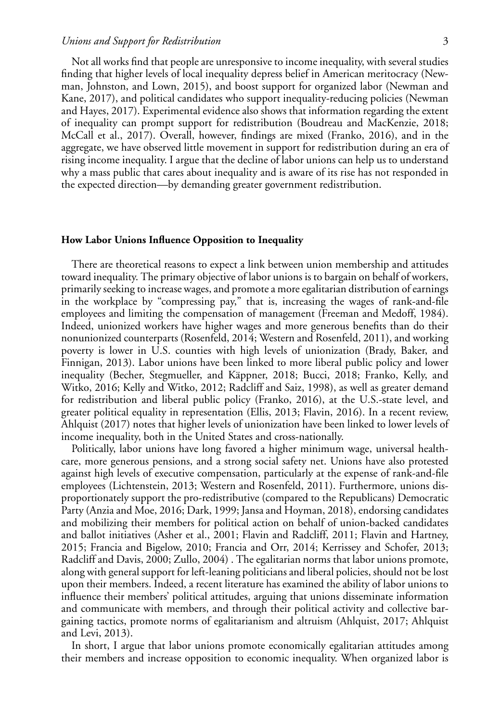### *Unions and Support for Redistribution* 3

Not all works find that people are unresponsive to income inequality, with several studies finding that higher levels of local inequality depress belief in American meritocracy (Newman, Johnston, and Lown, 2015), and boost support for organized labor (Newman and Kane, 2017), and political candidates who support inequality-reducing policies (Newman and Hayes, 2017). Experimental evidence also shows that information regarding the extent of inequality can prompt support for redistribution (Boudreau and MacKenzie, 2018; McCall et al., 2017). Overall, however, findings are mixed (Franko, 2016), and in the aggregate, we have observed little movement in support for redistribution during an era of rising income inequality. I argue that the decline of labor unions can help us to understand why a mass public that cares about inequality and is aware of its rise has not responded in the expected direction—by demanding greater government redistribution.

#### **How Labor Unions Influence Opposition to Inequality**

There are theoretical reasons to expect a link between union membership and attitudes toward inequality. The primary objective of labor unions is to bargain on behalf of workers, primarily seeking to increase wages, and promote a more egalitarian distribution of earnings in the workplace by "compressing pay," that is, increasing the wages of rank-and-file employees and limiting the compensation of management (Freeman and Medoff, 1984). Indeed, unionized workers have higher wages and more generous benefits than do their nonunionized counterparts (Rosenfeld, 2014; Western and Rosenfeld, 2011), and working poverty is lower in U.S. counties with high levels of unionization (Brady, Baker, and Finnigan, 2013). Labor unions have been linked to more liberal public policy and lower inequality (Becher, Stegmueller, and Käppner, 2018; Bucci, 2018; Franko, Kelly, and Witko, 2016; Kelly and Witko, 2012; Radcliff and Saiz, 1998), as well as greater demand for redistribution and liberal public policy (Franko, 2016), at the U.S.-state level, and greater political equality in representation (Ellis, 2013; Flavin, 2016). In a recent review, Ahlquist (2017) notes that higher levels of unionization have been linked to lower levels of income inequality, both in the United States and cross-nationally.

Politically, labor unions have long favored a higher minimum wage, universal healthcare, more generous pensions, and a strong social safety net. Unions have also protested against high levels of executive compensation, particularly at the expense of rank-and-file employees (Lichtenstein, 2013; Western and Rosenfeld, 2011). Furthermore, unions disproportionately support the pro-redistributive (compared to the Republicans) Democratic Party (Anzia and Moe, 2016; Dark, 1999; Jansa and Hoyman, 2018), endorsing candidates and mobilizing their members for political action on behalf of union-backed candidates and ballot initiatives (Asher et al., 2001; Flavin and Radcliff, 2011; Flavin and Hartney, 2015; Francia and Bigelow, 2010; Francia and Orr, 2014; Kerrissey and Schofer, 2013; Radcliff and Davis, 2000; Zullo, 2004) . The egalitarian norms that labor unions promote, along with general support for left-leaning politicians and liberal policies, should not be lost upon their members. Indeed, a recent literature has examined the ability of labor unions to influence their members' political attitudes, arguing that unions disseminate information and communicate with members, and through their political activity and collective bargaining tactics, promote norms of egalitarianism and altruism (Ahlquist, 2017; Ahlquist and Levi, 2013).

In short, I argue that labor unions promote economically egalitarian attitudes among their members and increase opposition to economic inequality. When organized labor is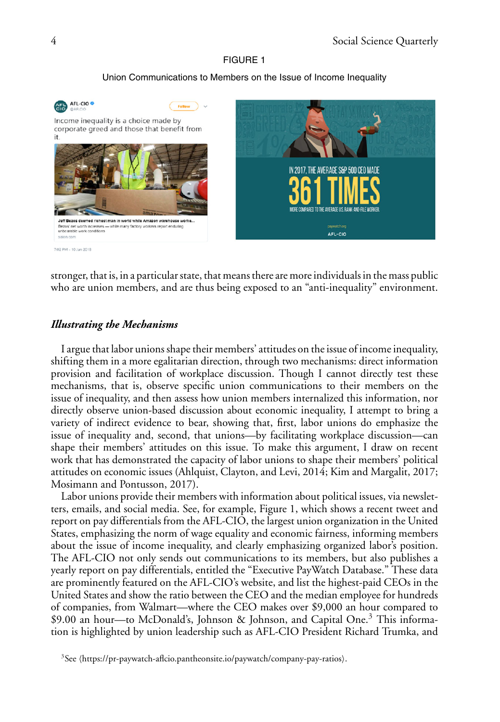#### FIGURE 1

# Union Communications to Members on the Issue of Income Inequality



stronger, that is, in a particular state, that means there are more individuals in the mass public who are union members, and are thus being exposed to an "anti-inequality" environment.

# *Illustrating the Mechanisms*

I argue that labor unions shape their members' attitudes on the issue of income inequality, shifting them in a more egalitarian direction, through two mechanisms: direct information provision and facilitation of workplace discussion. Though I cannot directly test these mechanisms, that is, observe specific union communications to their members on the issue of inequality, and then assess how union members internalized this information, nor directly observe union-based discussion about economic inequality, I attempt to bring a variety of indirect evidence to bear, showing that, first, labor unions do emphasize the issue of inequality and, second, that unions—by facilitating workplace discussion—can shape their members' attitudes on this issue. To make this argument, I draw on recent work that has demonstrated the capacity of labor unions to shape their members' political attitudes on economic issues (Ahlquist, Clayton, and Levi, 2014; Kim and Margalit, 2017; Mosimann and Pontusson, 2017).

Labor unions provide their members with information about political issues, via newsletters, emails, and social media. See, for example, Figure 1, which shows a recent tweet and report on pay differentials from the AFL-CIO, the largest union organization in the United States, emphasizing the norm of wage equality and economic fairness, informing members about the issue of income inequality, and clearly emphasizing organized labor's position. The AFL-CIO not only sends out communications to its members, but also publishes a yearly report on pay differentials, entitled the "Executive PayWatch Database." These data are prominently featured on the AFL-CIO's website, and list the highest-paid CEOs in the United States and show the ratio between the CEO and the median employee for hundreds of companies, from Walmart—where the CEO makes over \$9,000 an hour compared to \$9.00 an hour—to McDonald's, Johnson & Johnson, and Capital One.<sup>3</sup> This information is highlighted by union leadership such as AFL-CIO President Richard Trumka, and

 $3$ See (https://pr-paywatch-aflcio.pantheonsite.io/paywatch/company-pay-ratios).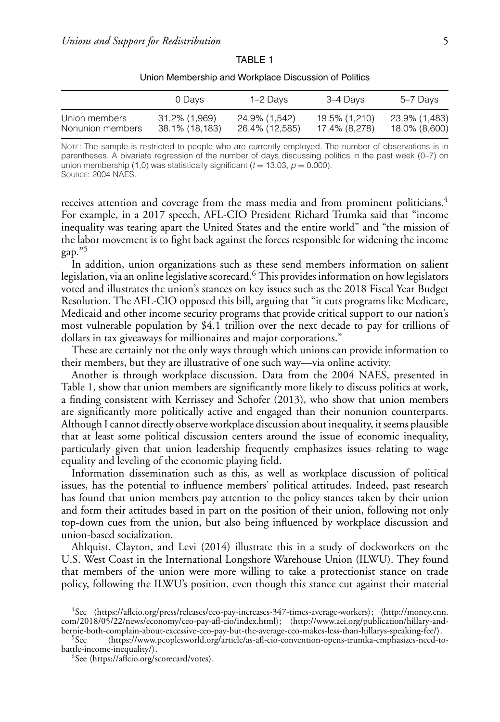|                                   | 0 Davs                          | 1–2 Davs                        | 3–4 Davs                       | 5–7 Days                       |
|-----------------------------------|---------------------------------|---------------------------------|--------------------------------|--------------------------------|
| Union members<br>Nonunion members | 31.2% (1.969)<br>38.1% (18.183) | 24.9% (1.542)<br>26.4% (12,585) | 19.5% (1.210)<br>17.4% (8.278) | 23.9% (1,483)<br>18.0% (8,600) |

TABLE 1 Union Membership and Workplace Discussion of Politics

NOTE: The sample is restricted to people who are currently employed. The number of observations is in parentheses. A bivariate regression of the number of days discussing politics in the past week (0–7) on union membership (1,0) was statistically significant ( $t = 13.03$ ,  $p = 0.000$ ). SOURCE: 2004 NAES.

receives attention and coverage from the mass media and from prominent politicians.<sup>4</sup> For example, in a 2017 speech, AFL-CIO President Richard Trumka said that "income inequality was tearing apart the United States and the entire world" and "the mission of the labor movement is to fight back against the forces responsible for widening the income gap."<sup>5</sup>

In addition, union organizations such as these send members information on salient legislation, via an online legislative scorecard.<sup>6</sup> This provides information on how legislators voted and illustrates the union's stances on key issues such as the 2018 Fiscal Year Budget Resolution. The AFL-CIO opposed this bill, arguing that "it cuts programs like Medicare, Medicaid and other income security programs that provide critical support to our nation's most vulnerable population by \$4.1 trillion over the next decade to pay for trillions of dollars in tax giveaways for millionaires and major corporations."

These are certainly not the only ways through which unions can provide information to their members, but they are illustrative of one such way—via online activity.

Another is through workplace discussion. Data from the 2004 NAES, presented in Table 1, show that union members are significantly more likely to discuss politics at work, a finding consistent with Kerrissey and Schofer (2013), who show that union members are significantly more politically active and engaged than their nonunion counterparts. Although I cannot directly observe workplace discussion about inequality, it seems plausible that at least some political discussion centers around the issue of economic inequality, particularly given that union leadership frequently emphasizes issues relating to wage equality and leveling of the economic playing field.

Information dissemination such as this, as well as workplace discussion of political issues, has the potential to influence members' political attitudes. Indeed, past research has found that union members pay attention to the policy stances taken by their union and form their attitudes based in part on the position of their union, following not only top-down cues from the union, but also being influenced by workplace discussion and union-based socialization.

Ahlquist, Clayton, and Levi (2014) illustrate this in a study of dockworkers on the U.S. West Coast in the International Longshore Warehouse Union (ILWU). They found that members of the union were more willing to take a protectionist stance on trade policy, following the ILWU's position, even though this stance cut against their material

bernie-both-complain-about-excessive-ceo-pay-but-the-average-ceo-makes-less-than-hillarys-speaking-fee/).<br><sup>5</sup>See (https://www.peoplesworld.org/article/as-afl-cio-convention-opens-trumka-emphasizes-need-to-<br>battle-income-in

 ${}^{6}$ See (https://aflcio.org/scorecard/votes).

<sup>4</sup>See https://aflcio.org/press/releases/ceo-pay-increases-347-times-average-workers; http://money.cnn. com/2018/05/22/news/economy/ceo-pay-afl-cio/index.html); (http://www.aei.org/publication/hillary-and-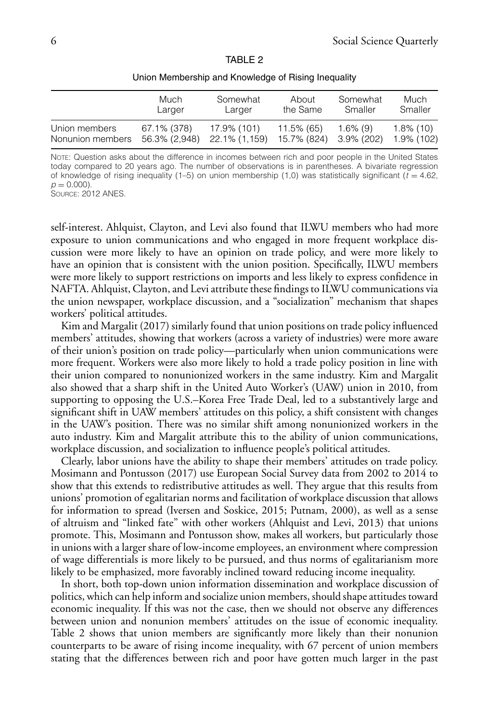|--|--|

|                  | Much          | Somewhat      | About       | Somewhat    | Much         |
|------------------|---------------|---------------|-------------|-------------|--------------|
|                  | Larger        | Larger        | the Same    | Smaller     | Smaller      |
| Union members    | 67.1% (378)   | 17.9% (101)   | 11.5% (65)  | $1.6\%$ (9) | $1.8\%$ (10) |
| Nonunion members | 56.3% (2.948) | 22.1% (1,159) | 15.7% (824) | 3.9% (202)  | 1.9% (102)   |

Union Membership and Knowledge of Rising Inequality

NOTE: Question asks about the difference in incomes between rich and poor people in the United States today compared to 20 years ago. The number of observations is in parentheses. A bivariate regression of knowledge of rising inequality (1–5) on union membership (1,0) was statistically significant ( $t = 4.62$ ,  $p = 0.000$ ).

SOURCE: 2012 ANES.

self-interest. Ahlquist, Clayton, and Levi also found that ILWU members who had more exposure to union communications and who engaged in more frequent workplace discussion were more likely to have an opinion on trade policy, and were more likely to have an opinion that is consistent with the union position. Specifically, ILWU members were more likely to support restrictions on imports and less likely to express confidence in NAFTA. Ahlquist, Clayton, and Levi attribute these findings to ILWU communications via the union newspaper, workplace discussion, and a "socialization" mechanism that shapes workers' political attitudes.

Kim and Margalit (2017) similarly found that union positions on trade policy influenced members' attitudes, showing that workers (across a variety of industries) were more aware of their union's position on trade policy—particularly when union communications were more frequent. Workers were also more likely to hold a trade policy position in line with their union compared to nonunionized workers in the same industry. Kim and Margalit also showed that a sharp shift in the United Auto Worker's (UAW) union in 2010, from supporting to opposing the U.S.–Korea Free Trade Deal, led to a substantively large and significant shift in UAW members' attitudes on this policy, a shift consistent with changes in the UAW's position. There was no similar shift among nonunionized workers in the auto industry. Kim and Margalit attribute this to the ability of union communications, workplace discussion, and socialization to influence people's political attitudes.

Clearly, labor unions have the ability to shape their members' attitudes on trade policy. Mosimann and Pontusson (2017) use European Social Survey data from 2002 to 2014 to show that this extends to redistributive attitudes as well. They argue that this results from unions' promotion of egalitarian norms and facilitation of workplace discussion that allows for information to spread (Iversen and Soskice, 2015; Putnam, 2000), as well as a sense of altruism and "linked fate" with other workers (Ahlquist and Levi, 2013) that unions promote. This, Mosimann and Pontusson show, makes all workers, but particularly those in unions with a larger share of low-income employees, an environment where compression of wage differentials is more likely to be pursued, and thus norms of egalitarianism more likely to be emphasized, more favorably inclined toward reducing income inequality.

In short, both top-down union information dissemination and workplace discussion of politics, which can help inform and socialize union members, should shape attitudes toward economic inequality. If this was not the case, then we should not observe any differences between union and nonunion members' attitudes on the issue of economic inequality. Table 2 shows that union members are significantly more likely than their nonunion counterparts to be aware of rising income inequality, with 67 percent of union members stating that the differences between rich and poor have gotten much larger in the past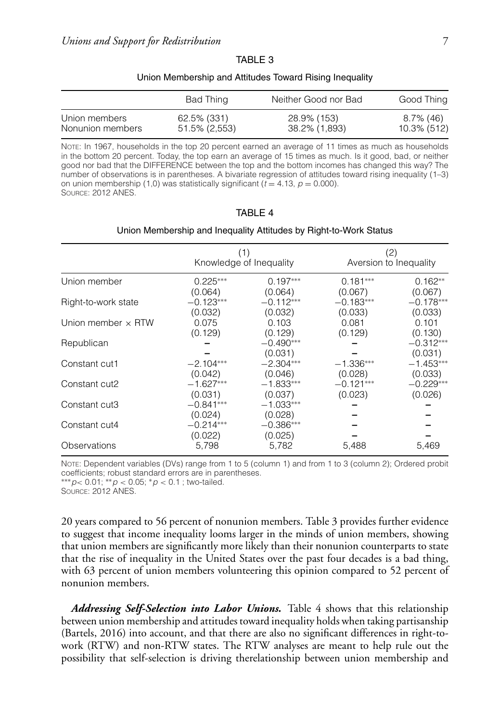|--|--|--|

#### Union Membership and Attitudes Toward Rising Inequality

|                  | Bad Thing     | Neither Good nor Bad | Good Thing  |
|------------------|---------------|----------------------|-------------|
| Union members    | 62.5% (331)   | 28.9% (153)          | 8.7% (46)   |
| Nonunion members | 51.5% (2,553) | 38.2% (1,893)        | 10.3% (512) |

NOTE: In 1967, households in the top 20 percent earned an average of 11 times as much as households in the bottom 20 percent. Today, the top earn an average of 15 times as much. Is it good, bad, or neither good nor bad that the DIFFERENCE between the top and the bottom incomes has changed this way? The number of observations is in parentheses. A bivariate regression of attitudes toward rising inequality (1–3) on union membership (1,0) was statistically significant ( $t = 4.13$ ,  $p = 0.000$ ). SOURCE: 2012 ANES.

| TARI F |  |
|--------|--|
|        |  |

#### Union Membership and Inequality Attitudes by Right-to-Work Status

|                           |                        | Knowledge of Inequality | Aversion to Inequality | (2)                    |
|---------------------------|------------------------|-------------------------|------------------------|------------------------|
| Union member              | $0.225***$             | $0.197***$              | $0.181***$             | $0.162**$              |
|                           | (0.064)                | (0.064)                 | (0.067)                | (0.067)                |
| Right-to-work state       | $-0.123***$            | $-0.112***$             | $-0.183***$            | $-0.178***$            |
|                           | (0.032)                | (0.032)                 | (0.033)                | (0.033)                |
| Union member $\times$ RTW | 0.075                  | 0.103                   | 0.081                  | 0.101                  |
|                           | (0.129)                | (0.129)                 | (0.129)                | (0.130)                |
| Republican                |                        | $-0.490***$<br>(0.031)  |                        | $-0.312***$<br>(0.031) |
| Constant cut1             | $-2.104***$            | $-2.304***$             | $-1.336***$            | $-1.453***$            |
|                           | (0.042)                | (0.046)                 | (0.028)                | (0.033)                |
| Constant cut2             | $-1.627***$            | $-1.833***$             | $-0.121***$            | $-0.229***$            |
|                           | (0.031)                | (0.037)                 | (0.023)                | (0.026)                |
| Constant cut3             | $-0.841***$<br>(0.024) | $-1.033***$<br>(0.028)  |                        |                        |
| Constant cut4             | $-0.214***$<br>(0.022) | $-0.386***$<br>(0.025)  |                        |                        |
| Observations              | 5,798                  | 5,782                   | 5,488                  | 5,469                  |

NOTE: Dependent variables (DVs) range from 1 to 5 (column 1) and from 1 to 3 (column 2); Ordered probit coefficients; robust standard errors are in parentheses.

∗∗∗*p<* 0.01; ∗∗*p <* 0.05; ∗*p <* 0.1 ; two-tailed.

SOURCE: 2012 ANES.

20 years compared to 56 percent of nonunion members. Table 3 provides further evidence to suggest that income inequality looms larger in the minds of union members, showing that union members are significantly more likely than their nonunion counterparts to state that the rise of inequality in the United States over the past four decades is a bad thing, with 63 percent of union members volunteering this opinion compared to 52 percent of nonunion members.

*Addressing Self-Selection into Labor Unions.* Table 4 shows that this relationship between union membership and attitudes toward inequality holds when taking partisanship (Bartels, 2016) into account, and that there are also no significant differences in right-towork (RTW) and non-RTW states. The RTW analyses are meant to help rule out the possibility that self-selection is driving therelationship between union membership and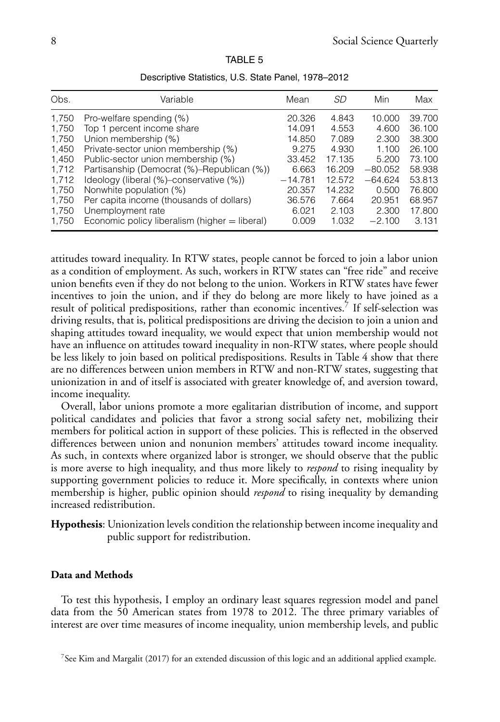| Obs.                                                                 | Variable                                                                                                                                                                                                                                                                        | Mean                                                                          | SD                                                                       | Min                                                                           | Max                                                                          |
|----------------------------------------------------------------------|---------------------------------------------------------------------------------------------------------------------------------------------------------------------------------------------------------------------------------------------------------------------------------|-------------------------------------------------------------------------------|--------------------------------------------------------------------------|-------------------------------------------------------------------------------|------------------------------------------------------------------------------|
| 1,750<br>1,750<br>1,750<br>1,450<br>1,450<br>1.712<br>1.712<br>1,750 | Pro-welfare spending (%)<br>Top 1 percent income share<br>Union membership (%)<br>Private-sector union membership (%)<br>Public-sector union membership (%)<br>Partisanship (Democrat (%)–Republican (%))<br>Ideology (liberal (%)–conservative (%))<br>Nonwhite population (%) | 20.326<br>14.091<br>14.850<br>9.275<br>33.452<br>6.663<br>$-14.781$<br>20.357 | 4.843<br>4.553<br>7.089<br>4.930<br>17.135<br>16.209<br>12.572<br>14.232 | 10.000<br>4.600<br>2.300<br>1.100<br>5.200<br>$-80.052$<br>$-64.624$<br>0.500 | 39.700<br>36.100<br>38.300<br>26.100<br>73.100<br>58.938<br>53.813<br>76.800 |
| 1.750<br>1,750                                                       | Per capita income (thousands of dollars)<br>Unemployment rate                                                                                                                                                                                                                   | 36.576<br>6.021                                                               | 7.664<br>2.103                                                           | 20.951<br>2.300                                                               | 68.957<br>17.800                                                             |
| 1,750                                                                | Economic policy liberalism (higher = liberal)                                                                                                                                                                                                                                   | 0.009                                                                         | 1.032                                                                    | $-2.100$                                                                      | 3.131                                                                        |

TABLE 5

| Descriptive Statistics, U.S. State Panel, 1978–2012 |  |  |  |
|-----------------------------------------------------|--|--|--|
|-----------------------------------------------------|--|--|--|

attitudes toward inequality. In RTW states, people cannot be forced to join a labor union as a condition of employment. As such, workers in RTW states can "free ride" and receive union benefits even if they do not belong to the union. Workers in RTW states have fewer incentives to join the union, and if they do belong are more likely to have joined as a result of political predispositions, rather than economic incentives.<sup>7</sup> If self-selection was driving results, that is, political predispositions are driving the decision to join a union and shaping attitudes toward inequality, we would expect that union membership would not have an influence on attitudes toward inequality in non-RTW states, where people should be less likely to join based on political predispositions. Results in Table 4 show that there are no differences between union members in RTW and non-RTW states, suggesting that unionization in and of itself is associated with greater knowledge of, and aversion toward, income inequality.

Overall, labor unions promote a more egalitarian distribution of income, and support political candidates and policies that favor a strong social safety net, mobilizing their members for political action in support of these policies. This is reflected in the observed differences between union and nonunion members' attitudes toward income inequality. As such, in contexts where organized labor is stronger, we should observe that the public is more averse to high inequality, and thus more likely to *respond* to rising inequality by supporting government policies to reduce it. More specifically, in contexts where union membership is higher, public opinion should *respond* to rising inequality by demanding increased redistribution.

**Hypothesis**: Unionization levels condition the relationship between income inequality and public support for redistribution.

### **Data and Methods**

To test this hypothesis, I employ an ordinary least squares regression model and panel data from the 50 American states from 1978 to 2012. The three primary variables of interest are over time measures of income inequality, union membership levels, and public

<sup>&</sup>lt;sup>7</sup>See Kim and Margalit (2017) for an extended discussion of this logic and an additional applied example.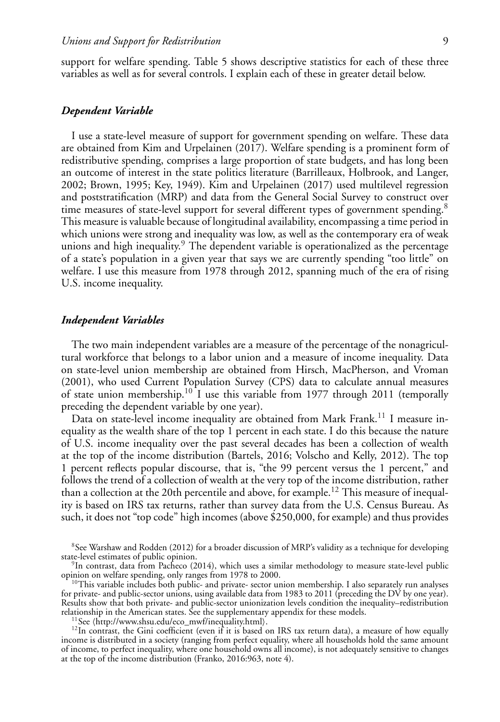support for welfare spending. Table 5 shows descriptive statistics for each of these three variables as well as for several controls. I explain each of these in greater detail below.

# *Dependent Variable*

I use a state-level measure of support for government spending on welfare. These data are obtained from Kim and Urpelainen (2017). Welfare spending is a prominent form of redistributive spending, comprises a large proportion of state budgets, and has long been an outcome of interest in the state politics literature (Barrilleaux, Holbrook, and Langer, 2002; Brown, 1995; Key, 1949). Kim and Urpelainen (2017) used multilevel regression and poststratification (MRP) and data from the General Social Survey to construct over time measures of state-level support for several different types of government spending.<sup>8</sup> This measure is valuable because of longitudinal availability, encompassing a time period in which unions were strong and inequality was low, as well as the contemporary era of weak unions and high inequality.<sup>9</sup> The dependent variable is operationalized as the percentage of a state's population in a given year that says we are currently spending "too little" on welfare. I use this measure from 1978 through 2012, spanning much of the era of rising U.S. income inequality.

# *Independent Variables*

The two main independent variables are a measure of the percentage of the nonagricultural workforce that belongs to a labor union and a measure of income inequality. Data on state-level union membership are obtained from Hirsch, MacPherson, and Vroman (2001), who used Current Population Survey (CPS) data to calculate annual measures of state union membership.<sup>10</sup> I use this variable from 1977 through 2011 (temporally preceding the dependent variable by one year).

Data on state-level income inequality are obtained from Mark Frank.<sup>11</sup> I measure inequality as the wealth share of the top 1 percent in each state. I do this because the nature of U.S. income inequality over the past several decades has been a collection of wealth at the top of the income distribution (Bartels, 2016; Volscho and Kelly, 2012). The top 1 percent reflects popular discourse, that is, "the 99 percent versus the 1 percent," and follows the trend of a collection of wealth at the very top of the income distribution, rather than a collection at the 20th percentile and above, for example.<sup>12</sup> This measure of inequality is based on IRS tax returns, rather than survey data from the U.S. Census Bureau. As such, it does not "top code" high incomes (above \$250,000, for example) and thus provides

 $8$ See Warshaw and Rodden (2012) for a broader discussion of MRP's validity as a technique for developing state-level estimates of public opinion.

<sup>10</sup>This variable includes both public- and private- sector union membership. I also separately run analyses for private- and public-sector unions, using available data from 1983 to 2011 (preceding the DV by one year). Results show that both private- and public-sector unionization levels condition the inequality–redistribution

<sup>11</sup>See (http://www.shsu.edu/eco\_mwf/inequality.html).<br><sup>12</sup>In contrast, the Gini coefficient (even if it is based on IRS tax return data), a measure of how equally income is distributed in a society (ranging from perfect equality, where all households hold the same amount of income, to perfect inequality, where one household owns all income), is not adequately sensitive to changes at the top of the income distribution (Franko, 2016:963, note 4).

 ${}^{9}$ In contrast, data from Pacheco (2014), which uses a similar methodology to measure state-level public opinion on welfare spending, only ranges from 1978 to 2000.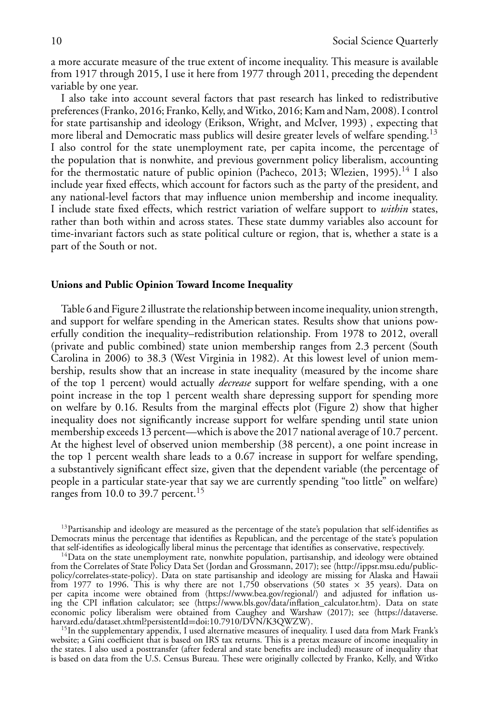a more accurate measure of the true extent of income inequality. This measure is available from 1917 through 2015, I use it here from 1977 through 2011, preceding the dependent variable by one year.

I also take into account several factors that past research has linked to redistributive preferences (Franko, 2016; Franko, Kelly, andWitko, 2016; Kam and Nam, 2008). I control for state partisanship and ideology (Erikson, Wright, and McIver, 1993) , expecting that more liberal and Democratic mass publics will desire greater levels of welfare spending.<sup>13</sup> I also control for the state unemployment rate, per capita income, the percentage of the population that is nonwhite, and previous government policy liberalism, accounting for the thermostatic nature of public opinion (Pacheco, 2013; Wlezien, 1995).<sup>14</sup> I also include year fixed effects, which account for factors such as the party of the president, and any national-level factors that may influence union membership and income inequality. I include state fixed effects, which restrict variation of welfare support to *within* states, rather than both within and across states. These state dummy variables also account for time-invariant factors such as state political culture or region, that is, whether a state is a part of the South or not.

#### **Unions and Public Opinion Toward Income Inequality**

Table 6 and Figure 2 illustrate the relationship between income inequality, union strength, and support for welfare spending in the American states. Results show that unions powerfully condition the inequality–redistribution relationship. From 1978 to 2012, overall (private and public combined) state union membership ranges from 2.3 percent (South Carolina in 2006) to 38.3 (West Virginia in 1982). At this lowest level of union membership, results show that an increase in state inequality (measured by the income share of the top 1 percent) would actually *decrease* support for welfare spending, with a one point increase in the top 1 percent wealth share depressing support for spending more on welfare by 0.16. Results from the marginal effects plot (Figure 2) show that higher inequality does not significantly increase support for welfare spending until state union membership exceeds 13 percent—which is above the 2017 national average of 10.7 percent. At the highest level of observed union membership (38 percent), a one point increase in the top 1 percent wealth share leads to a 0.67 increase in support for welfare spending, a substantively significant effect size, given that the dependent variable (the percentage of people in a particular state-year that say we are currently spending "too little" on welfare) ranges from 10.0 to 39.7 percent.<sup>15</sup>

<sup>15</sup>In the supplementary appendix, I used alternative measures of inequality. I used data from Mark Frank's website; a Gini coefficient that is based on IRS tax returns. This is a pretax measure of income inequality in the states. I also used a posttransfer (after federal and state benefits are included) measure of inequality that is based on data from the U.S. Census Bureau. These were originally collected by Franko, Kelly, and Witko

<sup>&</sup>lt;sup>13</sup>Partisanship and ideology are measured as the percentage of the state's population that self-identifies as Democrats minus the percentage that identifies as Republican, and the percentage of the state's population that self-identifies as ideologically liberal minus the percentage that identifies as conservative, respectively.<br><sup>14</sup>Data on the state unemployment rate, nonwhite population, partisanship, and ideology were obtained

from the Correlates of State Policy Data Set (Jordan and Grossmann, 2017); see http://ippsr.msu.edu/publicpolicy/correlates-state-policy. Data on state partisanship and ideology are missing for Alaska and Hawaii from 1977 to 1996. This is why there are not 1,750 observations (50 states  $\times$  35 years). Data on per capita income were obtained from https://www.bea.gov/regional/ and adjusted for inflation using the CPI inflation calculator; see (https://www.bls.gov/data/inflation\_calculator.htm). Data on state economic policy liberalism were obtained from Caughey and Warshaw (2017); see (https://dataverse.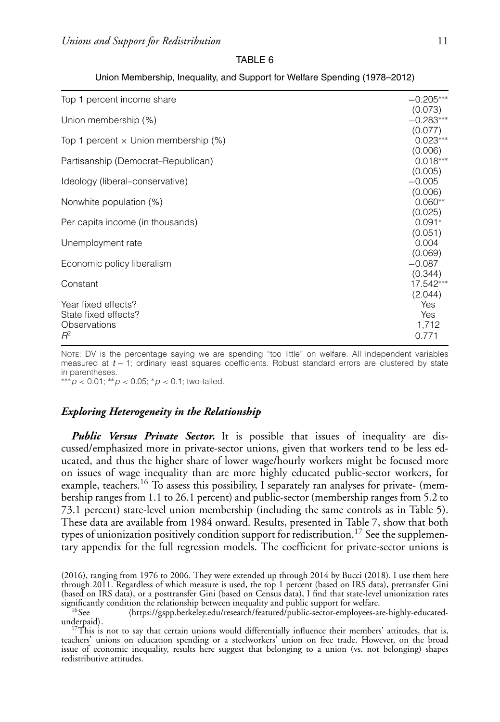|--|--|

| Top 1 percent income share                                           | $-0.205***$<br>(0.073)                  |
|----------------------------------------------------------------------|-----------------------------------------|
| Union membership (%)                                                 | $-0.283***$                             |
| Top 1 percent $\times$ Union membership (%)                          | (0.077)<br>$0.023***$                   |
| Partisanship (Democrat–Republican)                                   | (0.006)<br>$0.018***$                   |
| Ideology (liberal–conservative)                                      | (0.005)<br>$-0.005$                     |
| Nonwhite population (%)                                              | (0.006)<br>$0.060**$                    |
| Per capita income (in thousands)                                     | (0.025)<br>$0.091*$                     |
| Unemployment rate                                                    | (0.051)<br>0.004                        |
| Economic policy liberalism                                           | (0.069)<br>$-0.087$                     |
| Constant                                                             | (0.344)<br>17.542***                    |
| Year fixed effects?<br>State fixed effects?<br>Observations<br>$R^2$ | (2.044)<br>Yes<br>Yes<br>1,712<br>0.771 |

#### Union Membership, Inequality, and Support for Welfare Spending (1978–2012)

NOTE: DV is the percentage saying we are spending "too little" on welfare. All independent variables measured at *t* − 1; ordinary least squares coefficients. Robust standard errors are clustered by state in parentheses.

∗∗∗*p <* 0.01; ∗∗*p <* 0.05; ∗*p <* 0.1; two-tailed.

# *Exploring Heterogeneity in the Relationship*

*Public Versus Private Sector.* It is possible that issues of inequality are discussed/emphasized more in private-sector unions, given that workers tend to be less educated, and thus the higher share of lower wage/hourly workers might be focused more on issues of wage inequality than are more highly educated public-sector workers, for example, teachers.<sup>16</sup> To assess this possibility, I separately ran analyses for private- (membership ranges from 1.1 to 26.1 percent) and public-sector (membership ranges from 5.2 to 73.1 percent) state-level union membership (including the same controls as in Table 5). These data are available from 1984 onward. Results, presented in Table 7, show that both types of unionization positively condition support for redistribution.<sup>17</sup> See the supplementary appendix for the full regression models. The coefficient for private-sector unions is

<sup>(2016),</sup> ranging from 1976 to 2006. They were extended up through 2014 by Bucci (2018). I use them here through 2011. Regardless of which measure is used, the top 1 percent (based on IRS data), pretransfer Gini (based on IRS data), or a posttransfer Gini (based on Census data), I find that state-level unionization rates

 $S16$  See (https://gspp.berkeley.edu/research/featured/public-sector-employees-are-highly-educated-<br>underpaid).

 $17$ This is not to say that certain unions would differentially influence their members' attitudes, that is, teachers' unions on education spending or a steelworkers' union on free trade. However, on the broad issue of economic inequality, results here suggest that belonging to a union (vs. not belonging) shapes redistributive attitudes.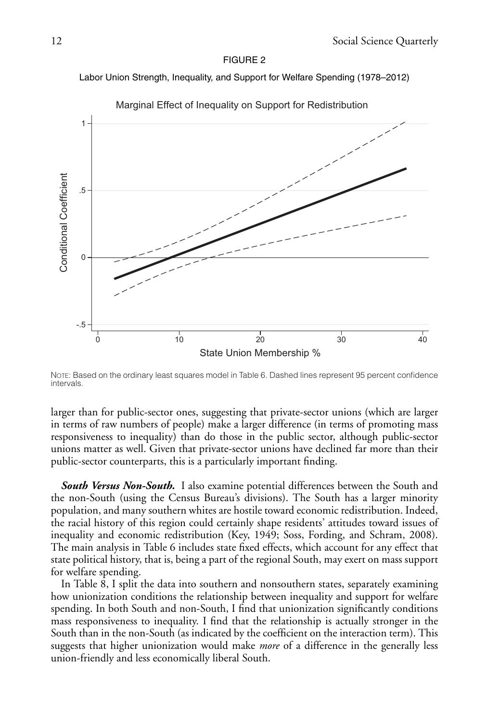#### FIGURE 2

#### Labor Union Strength, Inequality, and Support for Welfare Spending (1978–2012)



Marginal Effect of Inequality on Support for Redistribution

NOTE: Based on the ordinary least squares model in Table 6. Dashed lines represent 95 percent confidence intervals.

larger than for public-sector ones, suggesting that private-sector unions (which are larger in terms of raw numbers of people) make a larger difference (in terms of promoting mass responsiveness to inequality) than do those in the public sector, although public-sector unions matter as well. Given that private-sector unions have declined far more than their public-sector counterparts, this is a particularly important finding.

*South Versus Non-South.* I also examine potential differences between the South and the non-South (using the Census Bureau's divisions). The South has a larger minority population, and many southern whites are hostile toward economic redistribution. Indeed, the racial history of this region could certainly shape residents' attitudes toward issues of inequality and economic redistribution (Key, 1949; Soss, Fording, and Schram, 2008). The main analysis in Table 6 includes state fixed effects, which account for any effect that state political history, that is, being a part of the regional South, may exert on mass support for welfare spending.

In Table 8, I split the data into southern and nonsouthern states, separately examining how unionization conditions the relationship between inequality and support for welfare spending. In both South and non-South, I find that unionization significantly conditions mass responsiveness to inequality. I find that the relationship is actually stronger in the South than in the non-South (as indicated by the coefficient on the interaction term). This suggests that higher unionization would make *more* of a difference in the generally less union-friendly and less economically liberal South.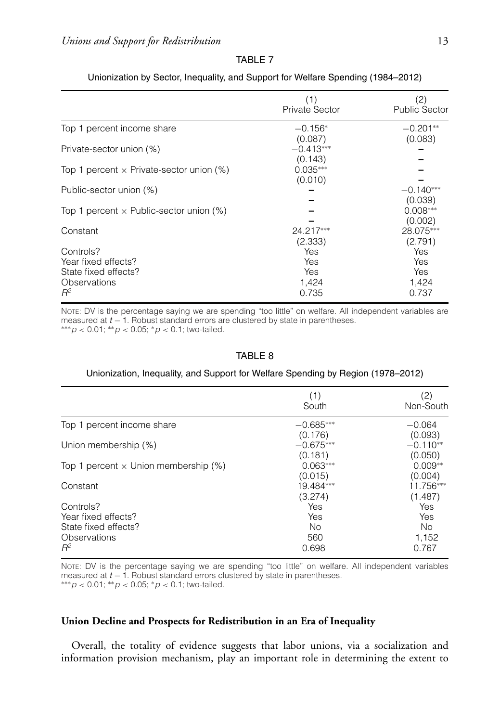|--|--|

|                                                                                   | (1)<br><b>Private Sector</b>                   | (2)<br><b>Public Sector</b>                    |
|-----------------------------------------------------------------------------------|------------------------------------------------|------------------------------------------------|
| Top 1 percent income share                                                        | $-0.156*$                                      | $-0.201**$                                     |
| Private-sector union (%)                                                          | (0.087)<br>$-0.413***$                         | (0.083)                                        |
| Top 1 percent $\times$ Private-sector union (%)                                   | (0.143)<br>$0.035***$                          |                                                |
| Public-sector union (%)                                                           | (0.010)                                        | $-0.140***$                                    |
| Top 1 percent $\times$ Public-sector union (%)                                    |                                                | (0.039)<br>$0.008***$                          |
| Constant                                                                          | 24.217***                                      | (0.002)<br>28.075***                           |
| Controls?<br>Year fixed effects?<br>State fixed effects?<br>Observations<br>$R^2$ | (2.333)<br>Yes<br>Yes<br>Yes<br>1,424<br>0.735 | (2.791)<br>Yes<br>Yes<br>Yes<br>1,424<br>0.737 |

# Unionization by Sector, Inequality, and Support for Welfare Spending (1984–2012)

NOTE: DV is the percentage saying we are spending "too little" on welfare. All independent variables are measured at *<sup>t</sup>* <sup>−</sup> 1. Robust standard errors are clustered by state in parentheses. ∗∗∗*<sup>p</sup> <sup>&</sup>lt;* 0.01; ∗∗*<sup>p</sup> <sup>&</sup>lt;* 0.05; <sup>∗</sup>*<sup>p</sup> <sup>&</sup>lt;* 0.1; two-tailed.

#### TABLE 8

#### Unionization, Inequality, and Support for Welfare Spending by Region (1978–2012)

|                                                                                   | (1)<br>South                      | (2)<br>Non-South                    |
|-----------------------------------------------------------------------------------|-----------------------------------|-------------------------------------|
| Top 1 percent income share                                                        | $-0.685***$                       | $-0.064$                            |
| Union membership (%)                                                              | (0.176)<br>$-0.675***$<br>(0.181) | (0.093)<br>$-0.110**$<br>(0.050)    |
| Top 1 percent $\times$ Union membership (%)                                       | $0.063***$<br>(0.015)             | $0.009**$<br>(0.004)                |
| Constant                                                                          | 19.484***<br>(3.274)              | 11.756***<br>(1.487)                |
| Controls?<br>Year fixed effects?<br>State fixed effects?<br>Observations<br>$R^2$ | Yes<br>Yes<br>No.<br>560<br>0.698 | Yes<br>Yes<br>No.<br>1,152<br>0.767 |

NOTE: DV is the percentage saying we are spending "too little" on welfare. All independent variables measured at *<sup>t</sup>* <sup>−</sup> 1. Robust standard errors clustered by state in parentheses. ∗∗∗*<sup>p</sup> <sup>&</sup>lt;* 0.01; ∗∗*<sup>p</sup> <sup>&</sup>lt;* 0.05; <sup>∗</sup>*<sup>p</sup> <sup>&</sup>lt;* 0.1; two-tailed.

# **Union Decline and Prospects for Redistribution in an Era of Inequality**

Overall, the totality of evidence suggests that labor unions, via a socialization and information provision mechanism, play an important role in determining the extent to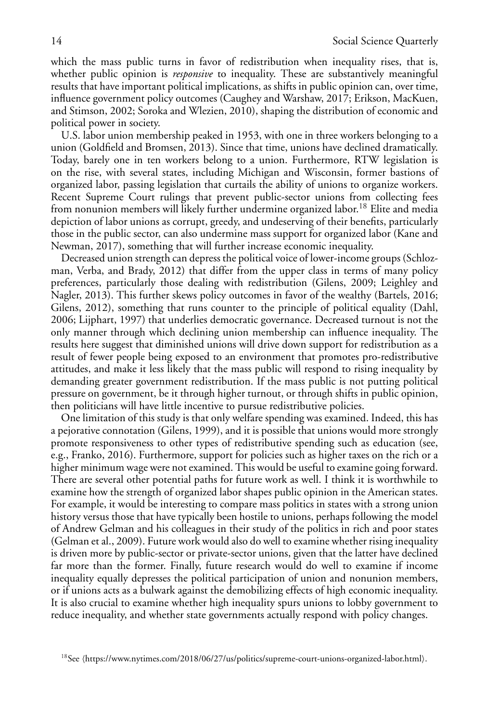which the mass public turns in favor of redistribution when inequality rises, that is, whether public opinion is *responsive* to inequality. These are substantively meaningful results that have important political implications, as shifts in public opinion can, over time, influence government policy outcomes (Caughey and Warshaw, 2017; Erikson, MacKuen, and Stimson, 2002; Soroka and Wlezien, 2010), shaping the distribution of economic and political power in society.

U.S. labor union membership peaked in 1953, with one in three workers belonging to a union (Goldfield and Bromsen, 2013). Since that time, unions have declined dramatically. Today, barely one in ten workers belong to a union. Furthermore, RTW legislation is on the rise, with several states, including Michigan and Wisconsin, former bastions of organized labor, passing legislation that curtails the ability of unions to organize workers. Recent Supreme Court rulings that prevent public-sector unions from collecting fees from nonunion members will likely further undermine organized labor.<sup>18</sup> Elite and media depiction of labor unions as corrupt, greedy, and undeserving of their benefits, particularly those in the public sector, can also undermine mass support for organized labor (Kane and Newman, 2017), something that will further increase economic inequality.

Decreased union strength can depress the political voice of lower-income groups (Schlozman, Verba, and Brady, 2012) that differ from the upper class in terms of many policy preferences, particularly those dealing with redistribution (Gilens, 2009; Leighley and Nagler, 2013). This further skews policy outcomes in favor of the wealthy (Bartels, 2016; Gilens, 2012), something that runs counter to the principle of political equality (Dahl, 2006; Lijphart, 1997) that underlies democratic governance. Decreased turnout is not the only manner through which declining union membership can influence inequality. The results here suggest that diminished unions will drive down support for redistribution as a result of fewer people being exposed to an environment that promotes pro-redistributive attitudes, and make it less likely that the mass public will respond to rising inequality by demanding greater government redistribution. If the mass public is not putting political pressure on government, be it through higher turnout, or through shifts in public opinion, then politicians will have little incentive to pursue redistributive policies.

One limitation of this study is that only welfare spending was examined. Indeed, this has a pejorative connotation (Gilens, 1999), and it is possible that unions would more strongly promote responsiveness to other types of redistributive spending such as education (see, e.g., Franko, 2016). Furthermore, support for policies such as higher taxes on the rich or a higher minimum wage were not examined. This would be useful to examine going forward. There are several other potential paths for future work as well. I think it is worthwhile to examine how the strength of organized labor shapes public opinion in the American states. For example, it would be interesting to compare mass politics in states with a strong union history versus those that have typically been hostile to unions, perhaps following the model of Andrew Gelman and his colleagues in their study of the politics in rich and poor states (Gelman et al., 2009). Future work would also do well to examine whether rising inequality is driven more by public-sector or private-sector unions, given that the latter have declined far more than the former. Finally, future research would do well to examine if income inequality equally depresses the political participation of union and nonunion members, or if unions acts as a bulwark against the demobilizing effects of high economic inequality. It is also crucial to examine whether high inequality spurs unions to lobby government to reduce inequality, and whether state governments actually respond with policy changes.

<sup>&</sup>lt;sup>18</sup>See (https://www.nytimes.com/2018/06/27/us/politics/supreme-court-unions-organized-labor.html).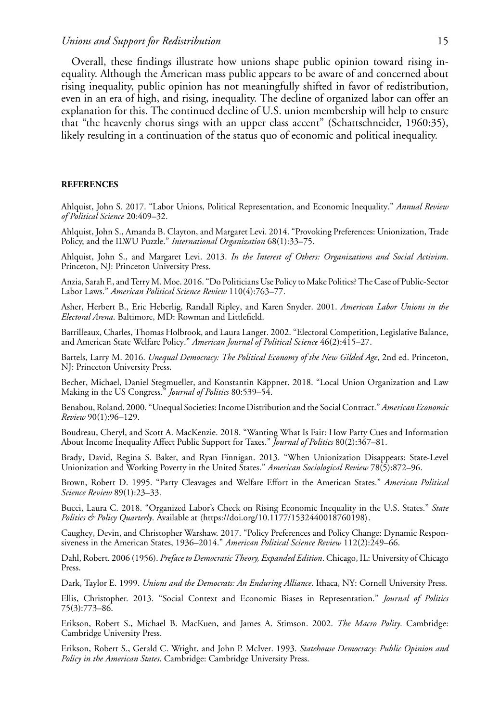#### *Unions and Support for Redistribution* 15

Overall, these findings illustrate how unions shape public opinion toward rising inequality. Although the American mass public appears to be aware of and concerned about rising inequality, public opinion has not meaningfully shifted in favor of redistribution, even in an era of high, and rising, inequality. The decline of organized labor can offer an explanation for this. The continued decline of U.S. union membership will help to ensure that "the heavenly chorus sings with an upper class accent" (Schattschneider, 1960:35), likely resulting in a continuation of the status quo of economic and political inequality.

#### **REFERENCES**

Ahlquist, John S. 2017. "Labor Unions, Political Representation, and Economic Inequality." *Annual Review of Political Science* 20:409–32.

Ahlquist, John S., Amanda B. Clayton, and Margaret Levi. 2014. "Provoking Preferences: Unionization, Trade Policy, and the ILWU Puzzle." *International Organization* 68(1):33–75.

Ahlquist, John S., and Margaret Levi. 2013. *In the Interest of Others: Organizations and Social Activism*. Princeton, NJ: Princeton University Press.

Anzia, Sarah F., and Terry M. Moe. 2016. "Do Politicians Use Policy to Make Politics? The Case of Public-Sector Labor Laws." *American Political Science Review* 110(4):763–77.

Asher, Herbert B., Eric Heberlig, Randall Ripley, and Karen Snyder. 2001. *American Labor Unions in the Electoral Arena*. Baltimore, MD: Rowman and Littlefield.

Barrilleaux, Charles, Thomas Holbrook, and Laura Langer. 2002. "Electoral Competition, Legislative Balance, and American State Welfare Policy." *American Journal of Political Science* 46(2):415–27.

Bartels, Larry M. 2016. *Unequal Democracy: The Political Economy of the New Gilded Age*, 2nd ed. Princeton, NJ: Princeton University Press.

Becher, Michael, Daniel Stegmueller, and Konstantin Käppner. 2018. "Local Union Organization and Law Making in the US Congress." *Journal of Politics* 80:539–54.

Benabou, Roland. 2000. "Unequal Societies: Income Distribution and the Social Contract." *American Economic Review* 90(1):96–129.

Boudreau, Cheryl, and Scott A. MacKenzie. 2018. "Wanting What Is Fair: How Party Cues and Information About Income Inequality Affect Public Support for Taxes." *Journal of Politics* 80(2):367–81.

Brady, David, Regina S. Baker, and Ryan Finnigan. 2013. "When Unionization Disappears: State-Level Unionization and Working Poverty in the United States." *American Sociological Review* 78(5):872–96.

Brown, Robert D. 1995. "Party Cleavages and Welfare Effort in the American States." *American Political Science Review* 89(1):23–33.

Bucci, Laura C. 2018. "Organized Labor's Check on Rising Economic Inequality in the U.S. States." *State* Politics & Policy Quarterly. Available at  $\langle$ https://doi.org/10.1177/1532440018760198 $\rangle$ .

Caughey, Devin, and Christopher Warshaw. 2017. "Policy Preferences and Policy Change: Dynamic Responsiveness in the American States, 1936–2014." *American Political Science Review* 112(2):249–66.

Dahl, Robert. 2006 (1956). *Preface to Democratic Theory, Expanded Edition*. Chicago, IL: University of Chicago Press.

Dark, Taylor E. 1999. *Unions and the Democrats: An Enduring Alliance*. Ithaca, NY: Cornell University Press.

Ellis, Christopher. 2013. "Social Context and Economic Biases in Representation." *Journal of Politics* 75(3):773–86.

Erikson, Robert S., Michael B. MacKuen, and James A. Stimson. 2002. *The Macro Polity*. Cambridge: Cambridge University Press.

Erikson, Robert S., Gerald C. Wright, and John P. McIver. 1993. *Statehouse Democracy: Public Opinion and Policy in the American States*. Cambridge: Cambridge University Press.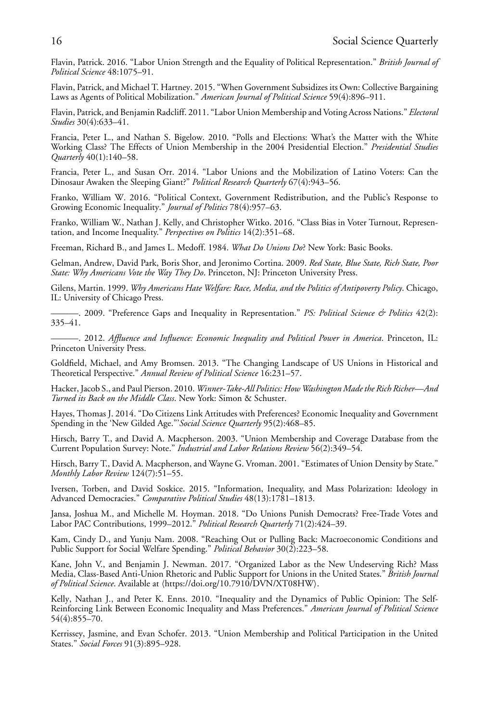Flavin, Patrick. 2016. "Labor Union Strength and the Equality of Political Representation." *British Journal of Political Science* 48:1075–91.

Flavin, Patrick, and Michael T. Hartney. 2015. "When Government Subsidizes its Own: Collective Bargaining Laws as Agents of Political Mobilization." *American Journal of Political Science* 59(4):896–911.

Flavin, Patrick, and Benjamin Radcliff. 2011. "Labor Union Membership and Voting Across Nations." *Electoral Studies* 30(4):633–41.

Francia, Peter L., and Nathan S. Bigelow. 2010. "Polls and Elections: What's the Matter with the White Working Class? The Effects of Union Membership in the 2004 Presidential Election." *Presidential Studies Quarterly* 40(1):140–58.

Francia, Peter L., and Susan Orr. 2014. "Labor Unions and the Mobilization of Latino Voters: Can the Dinosaur Awaken the Sleeping Giant?" *Political Research Quarterly* 67(4):943–56.

Franko, William W. 2016. "Political Context, Government Redistribution, and the Public's Response to Growing Economic Inequality." *Journal of Politics* 78(4):957–63.

Franko, William W., Nathan J. Kelly, and Christopher Witko. 2016. "Class Bias in Voter Turnout, Representation, and Income Inequality." *Perspectives on Politics* 14(2):351–68.

Freeman, Richard B., and James L. Medoff. 1984. *What Do Unions Do*? New York: Basic Books.

Gelman, Andrew, David Park, Boris Shor, and Jeronimo Cortina. 2009. *Red State, Blue State, Rich State, Poor State: Why Americans Vote the Way They Do*. Princeton, NJ: Princeton University Press.

Gilens, Martin. 1999. *Why Americans Hate Welfare: Race, Media, and the Politics of Antipoverty Policy*. Chicago, IL: University of Chicago Press.

———. 2009. "Preference Gaps and Inequality in Representation." *PS: Political Science & Politics* 42(2): 335–41.

———. 2012. *Affluence and Influence: Economic Inequality and Political Power in America*. Princeton, IL: Princeton University Press.

Goldfield, Michael, and Amy Bromsen. 2013. "The Changing Landscape of US Unions in Historical and Theoretical Perspective." *Annual Review of Political Science* 16:231–57.

Hacker, Jacob S., and Paul Pierson. 2010. *Winner-Take-All Politics: How Washington Made the Rich Richer—And Turned its Back on the Middle Class*. New York: Simon & Schuster.

Hayes, Thomas J. 2014. "Do Citizens Link Attitudes with Preferences? Economic Inequality and Government Spending in the 'New Gilded Age."'*Social Science Quarterly* 95(2):468–85.

Hirsch, Barry T., and David A. Macpherson. 2003. "Union Membership and Coverage Database from the Current Population Survey: Note." *Industrial and Labor Relations Review* 56(2):349–54.

Hirsch, Barry T., David A. Macpherson, and Wayne G. Vroman. 2001. "Estimates of Union Density by State." *Monthly Labor Review* 124(7):51–55.

Iversen, Torben, and David Soskice. 2015. "Information, Inequality, and Mass Polarization: Ideology in Advanced Democracies." *Comparative Political Studies* 48(13):1781–1813.

Jansa, Joshua M., and Michelle M. Hoyman. 2018. "Do Unions Punish Democrats? Free-Trade Votes and Labor PAC Contributions, 1999–2012." *Political Research Quarterly* 71(2):424–39.

Kam, Cindy D., and Yunju Nam. 2008. "Reaching Out or Pulling Back: Macroeconomic Conditions and Public Support for Social Welfare Spending." *Political Behavior* 30(2):223–58.

Kane, John V., and Benjamin J. Newman. 2017. "Organized Labor as the New Undeserving Rich? Mass Media, Class-Based Anti-Union Rhetoric and Public Support for Unions in the United States." *British Journal of Political Science*. Available at https://doi.org/10.7910/DVN/XT08HW.

Kelly, Nathan J., and Peter K. Enns. 2010. "Inequality and the Dynamics of Public Opinion: The Self-Reinforcing Link Between Economic Inequality and Mass Preferences." *American Journal of Political Science* 54(4):855–70.

Kerrissey, Jasmine, and Evan Schofer. 2013. "Union Membership and Political Participation in the United States." *Social Forces* 91(3):895–928.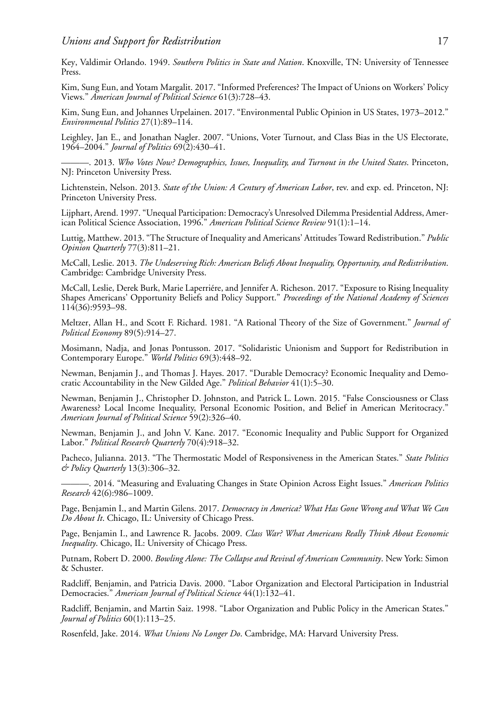Key, Valdimir Orlando. 1949. *Southern Politics in State and Nation*. Knoxville, TN: University of Tennessee Press.

Kim, Sung Eun, and Yotam Margalit. 2017. "Informed Preferences? The Impact of Unions on Workers' Policy Views." *American Journal of Political Science* 61(3):728–43.

Kim, Sung Eun, and Johannes Urpelainen. 2017. "Environmental Public Opinion in US States, 1973–2012." *Environmental Politics* 27(1):89–114.

Leighley, Jan E., and Jonathan Nagler. 2007. "Unions, Voter Turnout, and Class Bias in the US Electorate, 1964–2004." *Journal of Politics* 69(2):430–41.

———. 2013. *Who Votes Now? Demographics, Issues, Inequality, and Turnout in the United States*. Princeton, NJ: Princeton University Press.

Lichtenstein, Nelson. 2013. *State of the Union: A Century of American Labor*, rev. and exp. ed. Princeton, NJ: Princeton University Press.

Lijphart, Arend. 1997. "Unequal Participation: Democracy's Unresolved Dilemma Presidential Address, American Political Science Association, 1996." *American Political Science Review* 91(1):1–14.

Luttig, Matthew. 2013. "The Structure of Inequality and Americans' Attitudes Toward Redistribution." *Public Opinion Quarterly* 77(3):811–21.

McCall, Leslie. 2013. *The Undeserving Rich: American Beliefs About Inequality, Opportunity, and Redistribution*. Cambridge: Cambridge University Press.

McCall, Leslie, Derek Burk, Marie Laperriere, and Jennifer A. Richeson. 2017. "Exposure to Rising Inequality ´ Shapes Americans' Opportunity Beliefs and Policy Support." *Proceedings of the National Academy of Sciences* 114(36):9593–98.

Meltzer, Allan H., and Scott F. Richard. 1981. "A Rational Theory of the Size of Government." *Journal of Political Economy* 89(5):914–27.

Mosimann, Nadja, and Jonas Pontusson. 2017. "Solidaristic Unionism and Support for Redistribution in Contemporary Europe." *World Politics* 69(3):448–92.

Newman, Benjamin J., and Thomas J. Hayes. 2017. "Durable Democracy? Economic Inequality and Democratic Accountability in the New Gilded Age." *Political Behavior* 41(1):5–30.

Newman, Benjamin J., Christopher D. Johnston, and Patrick L. Lown. 2015. "False Consciousness or Class Awareness? Local Income Inequality, Personal Economic Position, and Belief in American Meritocracy." *American Journal of Political Science* 59(2):326–40.

Newman, Benjamin J., and John V. Kane. 2017. "Economic Inequality and Public Support for Organized Labor." *Political Research Quarterly* 70(4):918–32.

Pacheco, Julianna. 2013. "The Thermostatic Model of Responsiveness in the American States." *State Politics & Policy Quarterly* 13(3):306–32.

———. 2014. "Measuring and Evaluating Changes in State Opinion Across Eight Issues." *American Politics Research* 42(6):986–1009.

Page, Benjamin I., and Martin Gilens. 2017. *Democracy in America? What Has Gone Wrong and What We Can Do About It*. Chicago, IL: University of Chicago Press.

Page, Benjamin I., and Lawrence R. Jacobs. 2009. *Class War? What Americans Really Think About Economic Inequality*. Chicago, IL: University of Chicago Press.

Putnam, Robert D. 2000. *Bowling Alone: The Collapse and Revival of American Community*. New York: Simon & Schuster.

Radcliff, Benjamin, and Patricia Davis. 2000. "Labor Organization and Electoral Participation in Industrial Democracies." *American Journal of Political Science* 44(1):132–41.

Radcliff, Benjamin, and Martin Saiz. 1998. "Labor Organization and Public Policy in the American States." *Journal of Politics* 60(1):113–25.

Rosenfeld, Jake. 2014. *What Unions No Longer Do*. Cambridge, MA: Harvard University Press.